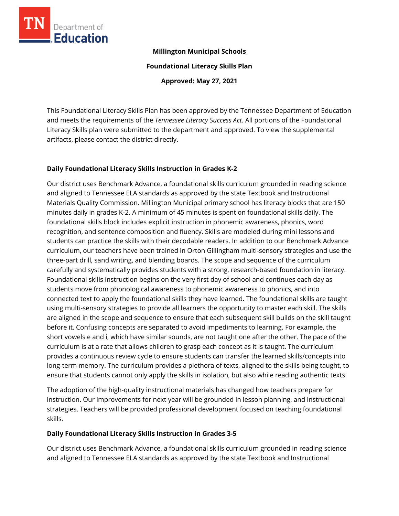

## **Millington Municipal Schools**

**Foundational Literacy Skills Plan**

**Approved: May 27, 2021**

This Foundational Literacy Skills Plan has been approved by the Tennessee Department of Education and meets the requirements of the *Tennessee Literacy Success Act.* All portions of the Foundational Literacy Skills plan were submitted to the department and approved. To view the supplemental artifacts, please contact the district directly.

## **Daily Foundational Literacy Skills Instruction in Grades K-2**

Our district uses Benchmark Advance, a foundational skills curriculum grounded in reading science and aligned to Tennessee ELA standards as approved by the state Textbook and Instructional Materials Quality Commission. Millington Municipal primary school has literacy blocks that are 150 minutes daily in grades K-2. A minimum of 45 minutes is spent on foundational skills daily. The foundational skills block includes explicit instruction in phonemic awareness, phonics, word recognition, and sentence composition and fluency. Skills are modeled during mini lessons and students can practice the skills with their decodable readers. In addition to our Benchmark Advance curriculum, our teachers have been trained in Orton Gillingham multi-sensory strategies and use the three-part drill, sand writing, and blending boards. The scope and sequence of the curriculum carefully and systematically provides students with a strong, research-based foundation in literacy. Foundational skills instruction begins on the very first day of school and continues each day as students move from phonological awareness to phonemic awareness to phonics, and into connected text to apply the foundational skills they have learned. The foundational skills are taught using multi-sensory strategies to provide all learners the opportunity to master each skill. The skills are aligned in the scope and sequence to ensure that each subsequent skill builds on the skill taught before it. Confusing concepts are separated to avoid impediments to learning. For example, the short vowels e and i, which have similar sounds, are not taught one after the other. The pace of the curriculum is at a rate that allows children to grasp each concept as it is taught. The curriculum provides a continuous review cycle to ensure students can transfer the learned skills/concepts into long-term memory. The curriculum provides a plethora of texts, aligned to the skills being taught, to ensure that students cannot only apply the skills in isolation, but also while reading authentic texts.

The adoption of the high-quality instructional materials has changed how teachers prepare for instruction. Our improvements for next year will be grounded in lesson planning, and instructional strategies. Teachers will be provided professional development focused on teaching foundational skills.

## **Daily Foundational Literacy Skills Instruction in Grades 3-5**

Our district uses Benchmark Advance, a foundational skills curriculum grounded in reading science and aligned to Tennessee ELA standards as approved by the state Textbook and Instructional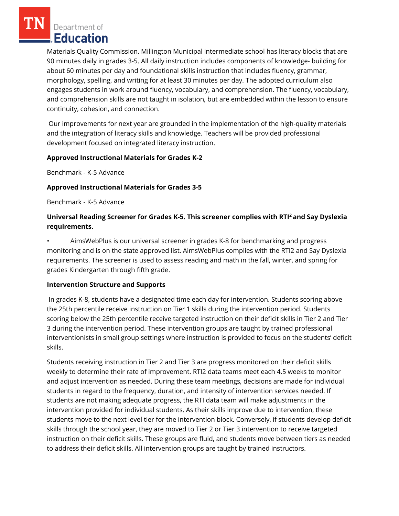Department of Education

Materials Quality Commission. Millington Municipal intermediate school has literacy blocks that are 90 minutes daily in grades 3-5. All daily instruction includes components of knowledge- building for about 60 minutes per day and foundational skills instruction that includes fluency, grammar, morphology, spelling, and writing for at least 30 minutes per day. The adopted curriculum also engages students in work around fluency, vocabulary, and comprehension. The fluency, vocabulary, and comprehension skills are not taught in isolation, but are embedded within the lesson to ensure continuity, cohesion, and connection.

Our improvements for next year are grounded in the implementation of the high-quality materials and the integration of literacy skills and knowledge. Teachers will be provided professional development focused on integrated literacy instruction.

## **Approved Instructional Materials for Grades K-2**

Benchmark - K-5 Advance

## **Approved Instructional Materials for Grades 3-5**

Benchmark - K-5 Advance

# **Universal Reading Screener for Grades K-5. This screener complies with RTI<sup>2</sup>and Say Dyslexia requirements.**

• AimsWebPlus is our universal screener in grades K-8 for benchmarking and progress monitoring and is on the state approved list. AimsWebPlus complies with the RTI2 and Say Dyslexia requirements. The screener is used to assess reading and math in the fall, winter, and spring for grades Kindergarten through fifth grade.

## **Intervention Structure and Supports**

In grades K-8, students have a designated time each day for intervention. Students scoring above the 25th percentile receive instruction on Tier 1 skills during the intervention period. Students scoring below the 25th percentile receive targeted instruction on their deficit skills in Tier 2 and Tier 3 during the intervention period. These intervention groups are taught by trained professional interventionists in small group settings where instruction is provided to focus on the students' deficit skills.

Students receiving instruction in Tier 2 and Tier 3 are progress monitored on their deficit skills weekly to determine their rate of improvement. RTI2 data teams meet each 4.5 weeks to monitor and adjust intervention as needed. During these team meetings, decisions are made for individual students in regard to the frequency, duration, and intensity of intervention services needed. If students are not making adequate progress, the RTI data team will make adjustments in the intervention provided for individual students. As their skills improve due to intervention, these students move to the next level tier for the intervention block. Conversely, if students develop deficit skills through the school year, they are moved to Tier 2 or Tier 3 intervention to receive targeted instruction on their deficit skills. These groups are fluid, and students move between tiers as needed to address their deficit skills. All intervention groups are taught by trained instructors.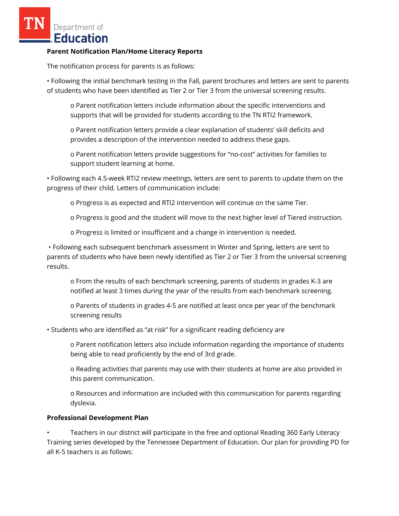Department of **Education** 

#### **Parent Notification Plan/Home Literacy Reports**

The notification process for parents is as follows:

• Following the initial benchmark testing in the Fall, parent brochures and letters are sent to parents of students who have been identified as Tier 2 or Tier 3 from the universal screening results.

o Parent notification letters include information about the specific interventions and supports that will be provided for students according to the TN RTI2 framework.

o Parent notification letters provide a clear explanation of students' skill deficits and provides a description of the intervention needed to address these gaps.

o Parent notification letters provide suggestions for "no-cost" activities for families to support student learning at home.

• Following each 4.5-week RTI2 review meetings, letters are sent to parents to update them on the progress of their child. Letters of communication include:

o Progress is as expected and RTI2 intervention will continue on the same Tier.

o Progress is good and the student will move to the next higher level of Tiered instruction.

o Progress is limited or insufficient and a change in intervention is needed.

• Following each subsequent benchmark assessment in Winter and Spring, letters are sent to parents of students who have been newly identified as Tier 2 or Tier 3 from the universal screening results.

o From the results of each benchmark screening, parents of students in grades K-3 are notified at least 3 times during the year of the results from each benchmark screening.

o Parents of students in grades 4-5 are notified at least once per year of the benchmark screening results

• Students who are identified as "at risk" for a significant reading deficiency are

o Parent notification letters also include information regarding the importance of students being able to read proficiently by the end of 3rd grade.

o Reading activities that parents may use with their students at home are also provided in this parent communication.

o Resources and information are included with this communication for parents regarding dyslexia.

## **Professional Development Plan**

• Teachers in our district will participate in the free and optional Reading 360 Early Literacy Training series developed by the Tennessee Department of Education. Our plan for providing PD for all K-5 teachers is as follows: